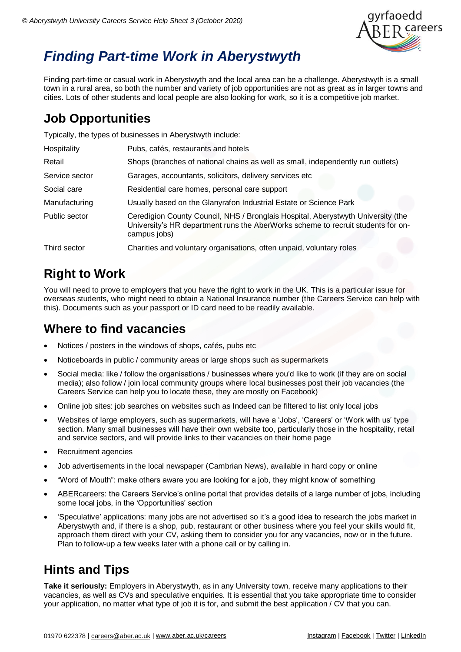

# *Finding Part-time Work in Aberystwyth*

Finding part-time or casual work in Aberystwyth and the local area can be a challenge. Aberystwyth is a small town in a rural area, so both the number and variety of job opportunities are not as great as in larger towns and cities. Lots of other students and local people are also looking for work, so it is a competitive job market.

## **Job Opportunities**

Typically, the types of businesses in Aberystwyth include:

| Hospitality    | Pubs, cafés, restaurants and hotels                                                                                                                                                  |
|----------------|--------------------------------------------------------------------------------------------------------------------------------------------------------------------------------------|
| Retail         | Shops (branches of national chains as well as small, independently run outlets)                                                                                                      |
| Service sector | Garages, accountants, solicitors, delivery services etc                                                                                                                              |
| Social care    | Residential care homes, personal care support                                                                                                                                        |
| Manufacturing  | Usually based on the Glanyrafon Industrial Estate or Science Park                                                                                                                    |
| Public sector  | Ceredigion County Council, NHS / Bronglais Hospital, Aberystwyth University (the<br>University's HR department runs the AberWorks scheme to recruit students for on-<br>campus jobs) |
| Third sector   | Charities and voluntary organisations, often unpaid, voluntary roles                                                                                                                 |

## **Right to Work**

You will need to prove to employers that you have the right to work in the UK. This is a particular issue for overseas students, who might need to obtain a National Insurance number (the Careers Service can help with this). Documents such as your passport or ID card need to be readily available.

### **Where to find vacancies**

- Notices / posters in the windows of shops, cafés, pubs etc
- Noticeboards in public / community areas or large shops such as supermarkets
- Social media: like / follow the organisations / businesses where you'd like to work (if they are on social media); also follow / join local community groups where local businesses post their job vacancies (the Careers Service can help you to locate these, they are mostly on Facebook)
- Online job sites: job searches on websites such as Indeed can be filtered to list only local jobs
- Websites of large employers, such as supermarkets, will have a 'Jobs', 'Careers' or 'Work with us' type section. Many small businesses will have their own website too, particularly those in the hospitality, retail and service sectors, and will provide links to their vacancies on their home page
- Recruitment agencies
- Job advertisements in the local newspaper (Cambrian News), available in hard copy or online
- "Word of Mouth": make others aware you are looking for a job, they might know of something
- [ABERcareers:](http://www.aber.ac.uk/ABERcareers) the Careers Service's online portal that provides details of a large number of jobs, including some local jobs, in the 'Opportunities' section
- 'Speculative' applications: many jobs are not advertised so it's a good idea to research the jobs market in Aberystwyth and, if there is a shop, pub, restaurant or other business where you feel your skills would fit, approach them direct with your CV, asking them to consider you for any vacancies, now or in the future. Plan to follow-up a few weeks later with a phone call or by calling in.

## **Hints and Tips**

**Take it seriously:** Employers in Aberystwyth, as in any University town, receive many applications to their vacancies, as well as CVs and speculative enquiries. It is essential that you take appropriate time to consider your application, no matter what type of job it is for, and submit the best application / CV that you can.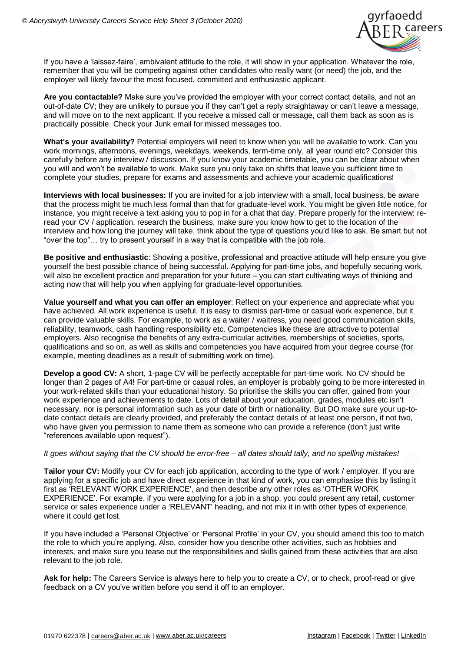

If you have a 'laissez-faire', ambivalent attitude to the role, it will show in your application. Whatever the role, remember that you will be competing against other candidates who really want (or need) the job, and the employer will likely favour the most focused, committed and enthusiastic applicant.

**Are you contactable?** Make sure you've provided the employer with your correct contact details, and not an out-of-date CV; they are unlikely to pursue you if they can't get a reply straightaway or can't leave a message, and will move on to the next applicant. If you receive a missed call or message, call them back as soon as is practically possible. Check your Junk email for missed messages too.

**What's your availability?** Potential employers will need to know when you will be available to work. Can you work mornings, afternoons, evenings, weekdays, weekends, term-time only, all year round etc? Consider this carefully before any interview / discussion. If you know your academic timetable, you can be clear about when you will and won't be available to work. Make sure you only take on shifts that leave you sufficient time to complete your studies, prepare for exams and assessments and achieve your academic qualifications!

**Interviews with local businesses:** If you are invited for a job interview with a small, local business, be aware that the process might be much less formal than that for graduate-level work. You might be given little notice, for instance, you might receive a text asking you to pop in for a chat that day. Prepare properly for the interview: reread your CV / application, research the business, make sure you know how to get to the location of the interview and how long the journey will take, think about the type of questions you'd like to ask. Be smart but not "over the top"… try to present yourself in a way that is compatible with the job role.

**Be positive and enthusiastic**: Showing a positive, professional and proactive attitude will help ensure you give yourself the best possible chance of being successful. Applying for part-time jobs, and hopefully securing work, will also be excellent practice and preparation for your future – you can start cultivating ways of thinking and acting now that will help you when applying for graduate-level opportunities.

**Value yourself and what you can offer an employer**: Reflect on your experience and appreciate what you have achieved. All work experience is useful. It is easy to dismiss part-time or casual work experience, but it can provide valuable skills. For example, to work as a waiter / waitress, you need good communication skills, reliability, teamwork, cash handling responsibility etc. Competencies like these are attractive to potential employers. Also recognise the benefits of any extra-curricular activities, memberships of societies, sports, qualifications and so on, as well as skills and competencies you have acquired from your degree course (for example, meeting deadlines as a result of submitting work on time).

**Develop a good CV:** A short, 1-page CV will be perfectly acceptable for part-time work. No CV should be longer than 2 pages of A4! For part-time or casual roles, an employer is probably going to be more interested in your work-related skills than your educational history. So prioritise the skills you can offer, gained from your work experience and achievements to date. Lots of detail about your education, grades, modules etc isn't necessary, nor is personal information such as your date of birth or nationality. But DO make sure your up-todate contact details are clearly provided, and preferably the contact details of at least one person, if not two, who have given you permission to name them as someone who can provide a reference (don't just write "references available upon request").

#### *It goes without saying that the CV should be error-free – all dates should tally, and no spelling mistakes!*

**Tailor your CV:** Modify your CV for each job application, according to the type of work / employer. If you are applying for a specific job and have direct experience in that kind of work, you can emphasise this by listing it first as 'RELEVANT WORK EXPERIENCE', and then describe any other roles as 'OTHER WORK EXPERIENCE'. For example, if you were applying for a job in a shop, you could present any retail, customer service or sales experience under a 'RELEVANT' heading, and not mix it in with other types of experience, where it could get lost.

If you have included a 'Personal Objective' or 'Personal Profile' in your CV, you should amend this too to match the role to which you're applying. Also, consider how you describe other activities, such as hobbies and interests, and make sure you tease out the responsibilities and skills gained from these activities that are also relevant to the job role.

**Ask for help:** The Careers Service is always here to help you to create a CV, or to check, proof-read or give feedback on a CV you've written before you send it off to an employer.